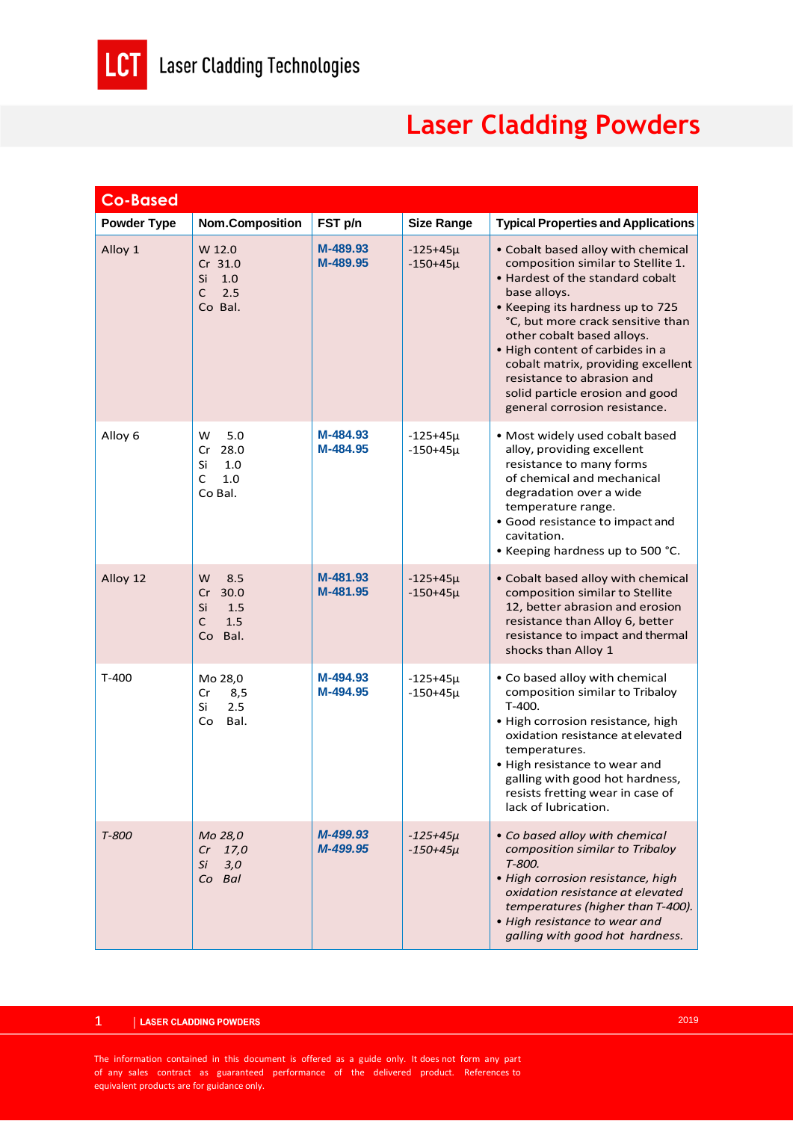

## **Laser Cladding Powders**

| <b>Co-Based</b>    |                                                               |                      |                              |                                                                                                                                                                                                                                                                                                                                                                                                                |
|--------------------|---------------------------------------------------------------|----------------------|------------------------------|----------------------------------------------------------------------------------------------------------------------------------------------------------------------------------------------------------------------------------------------------------------------------------------------------------------------------------------------------------------------------------------------------------------|
| <b>Powder Type</b> | <b>Nom.Composition</b>                                        | FST p/n              | <b>Size Range</b>            | <b>Typical Properties and Applications</b>                                                                                                                                                                                                                                                                                                                                                                     |
| Alloy 1            | W 12.0<br>Cr 31.0<br>Si<br>1.0<br>C<br>2.5<br>Co Bal.         | M-489.93<br>M-489.95 | $-125+45\mu$<br>$-150+45\mu$ | • Cobalt based alloy with chemical<br>composition similar to Stellite 1.<br>• Hardest of the standard cobalt<br>base alloys.<br>• Keeping its hardness up to 725<br>°C, but more crack sensitive than<br>other cobalt based alloys.<br>. High content of carbides in a<br>cobalt matrix, providing excellent<br>resistance to abrasion and<br>solid particle erosion and good<br>general corrosion resistance. |
| Alloy 6            | W<br>5.0<br>28.0<br>Cr<br>Si<br>1.0<br>C<br>1.0<br>Co Bal.    | M-484.93<br>M-484.95 | $-125+45\mu$<br>$-150+45\mu$ | · Most widely used cobalt based<br>alloy, providing excellent<br>resistance to many forms<br>of chemical and mechanical<br>degradation over a wide<br>temperature range.<br>• Good resistance to impact and<br>cavitation.<br>• Keeping hardness up to 500 °C.                                                                                                                                                 |
| Alloy 12           | W<br>8.5<br>Cr<br>30.0<br>Si<br>1.5<br>C<br>1.5<br>Bal.<br>Co | M-481.93<br>M-481.95 | $-125+45\mu$<br>$-150+45\mu$ | • Cobalt based alloy with chemical<br>composition similar to Stellite<br>12, better abrasion and erosion<br>resistance than Alloy 6, better<br>resistance to impact and thermal<br>shocks than Alloy 1                                                                                                                                                                                                         |
| $T-400$            | Mo 28,0<br>8,5<br>Cr<br>Si<br>2.5<br>Co<br>Bal.               | M-494.93<br>M-494.95 | $-125+45\mu$<br>$-150+45\mu$ | . Co based alloy with chemical<br>composition similar to Tribaloy<br>T-400.<br>· High corrosion resistance, high<br>oxidation resistance at elevated<br>temperatures.<br>• High resistance to wear and<br>galling with good hot hardness,<br>resists fretting wear in case of<br>lack of lubrication.                                                                                                          |
| T-800              | Mo 28,0<br>$Cr$ 17,0<br>Si<br>3,0<br>Co Bal                   | M-499.93<br>M-499.95 | $-125+45\mu$<br>$-150+45\mu$ | • Co based alloy with chemical<br>composition similar to Tribaloy<br>T-800.<br>· High corrosion resistance, high<br>oxidation resistance at elevated<br>temperatures (higher than T-400).<br>· High resistance to wear and<br>galling with good hot hardness.                                                                                                                                                  |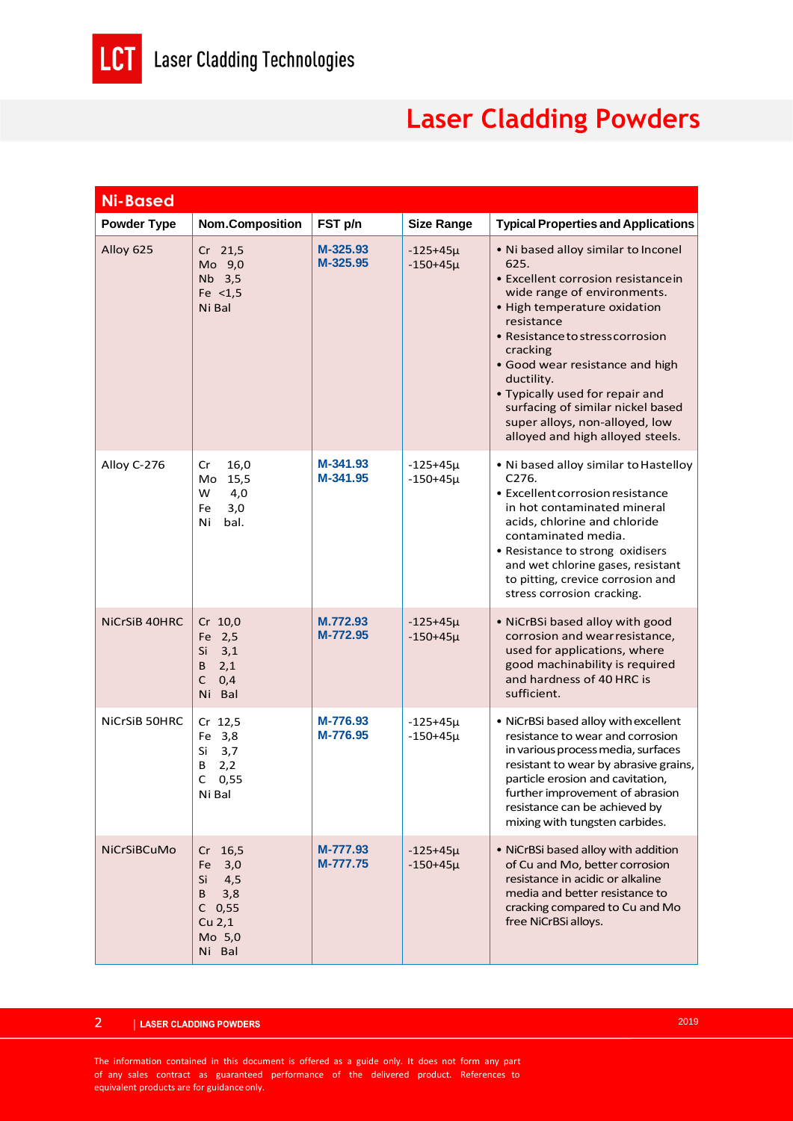LCT

## **Laser Cladding Powders**

| <b>Ni-Based</b>    |                                                                                                       |                      |                              |                                                                                                                                                                                                                                                                                                                                                                                                               |
|--------------------|-------------------------------------------------------------------------------------------------------|----------------------|------------------------------|---------------------------------------------------------------------------------------------------------------------------------------------------------------------------------------------------------------------------------------------------------------------------------------------------------------------------------------------------------------------------------------------------------------|
| <b>Powder Type</b> | <b>Nom.Composition</b>                                                                                | FST p/n              | <b>Size Range</b>            | <b>Typical Properties and Applications</b>                                                                                                                                                                                                                                                                                                                                                                    |
| Alloy 625          | $Cr$ 21,5<br>Mo 9,0<br>Nb 3,5<br>Fe $<$ 1,5<br>Ni Bal                                                 | M-325.93<br>M-325.95 | $-125+45\mu$<br>$-150+45\mu$ | . Ni based alloy similar to Inconel<br>625.<br>• Excellent corrosion resistancein<br>wide range of environments.<br>• High temperature oxidation<br>resistance<br>• Resistance to stress corrosion<br>cracking<br>• Good wear resistance and high<br>ductility.<br>• Typically used for repair and<br>surfacing of similar nickel based<br>super alloys, non-alloyed, low<br>alloyed and high alloyed steels. |
| Alloy C-276        | Cr<br>16,0<br>Mo 15,5<br>W<br>4,0<br>3,0<br>Fe<br>Ni<br>bal.                                          | M-341.93<br>M-341.95 | $-125+45\mu$<br>$-150+45\mu$ | . Ni based alloy similar to Hastelloy<br>C276.<br>• Excellent corrosion resistance<br>in hot contaminated mineral<br>acids, chlorine and chloride<br>contaminated media.<br>• Resistance to strong oxidisers<br>and wet chlorine gases, resistant<br>to pitting, crevice corrosion and<br>stress corrosion cracking.                                                                                          |
| NiCrSiB 40HRC      | Cr 10,0<br>Fe 2,5<br>Si<br>3,1<br>2,1<br>B<br>C<br>0,4<br>Ni Bal                                      | M.772.93<br>M-772.95 | $-125+45\mu$<br>$-150+45\mu$ | • NiCrBSi based alloy with good<br>corrosion and wear resistance,<br>used for applications, where<br>good machinability is required<br>and hardness of 40 HRC is<br>sufficient.                                                                                                                                                                                                                               |
| NiCrSiB 50HRC      | Cr 12,5<br>Fe 3,8<br>Si<br>3,7<br>B<br>2,2<br>C<br>0,55<br>Ni Bal                                     | M-776.93<br>M-776.95 | $-125+45\mu$<br>$-150+45\mu$ | • NiCrBSi based alloy with excellent<br>resistance to wear and corrosion<br>in various process media, surfaces<br>resistant to wear by abrasive grains,<br>particle erosion and cavitation,<br>further improvement of abrasion<br>resistance can be achieved by<br>mixing with tungsten carbides.                                                                                                             |
| NiCrSiBCuMo        | 16,5<br>Cr<br>3,0<br>Fe<br>Si<br>4,5<br>B<br>3,8<br>$C$ 0,55<br>Cu <sub>2,1</sub><br>Mo 5,0<br>Ni Bal | M-777.93<br>M-777.75 | $-125+45\mu$<br>$-150+45\mu$ | • NiCrBSi based alloy with addition<br>of Cu and Mo, better corrosion<br>resistance in acidic or alkaline<br>media and better resistance to<br>cracking compared to Cu and Mo<br>free NiCrBSi alloys.                                                                                                                                                                                                         |

The information contained in this document is offered as a guide only. It does not form any part of any sales contract as guaranteed performance of the delivered product. References to equivalent products are for guidance only.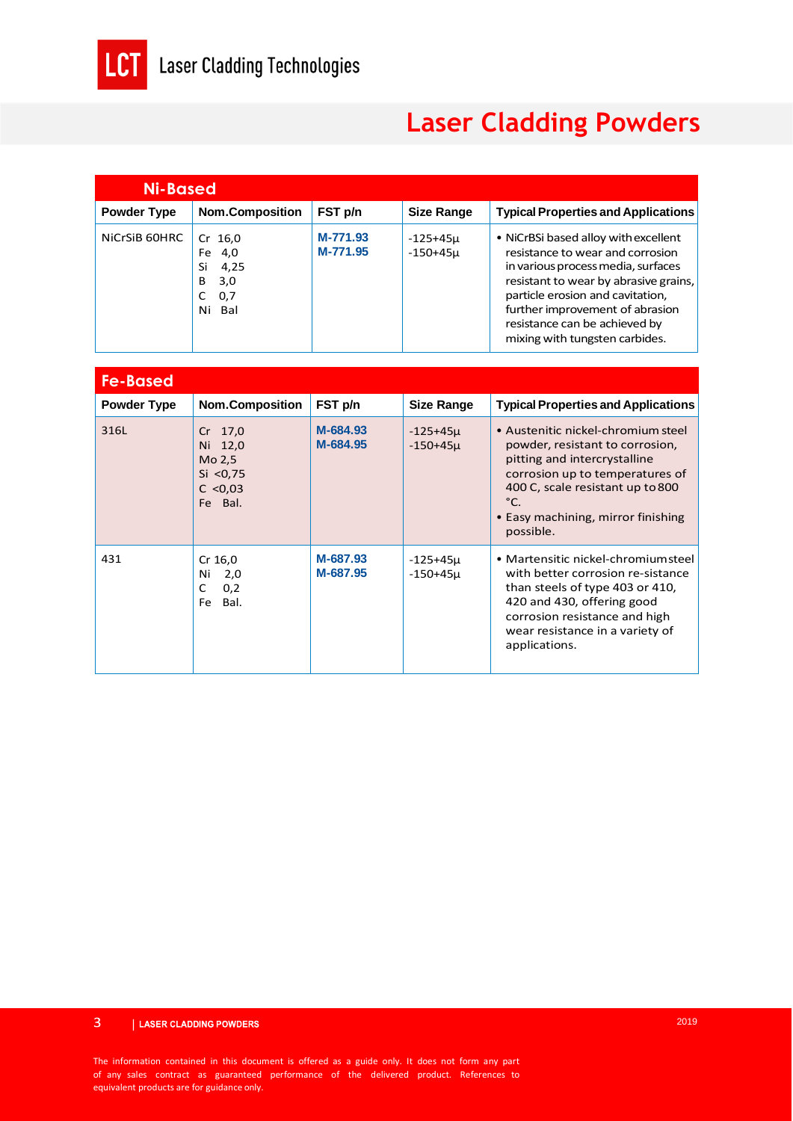

## **Laser Cladding Powders**

| <b>Ni-Based</b>    |                                                                           |                      |                              |                                                                                                                                                                                                                                                                                                   |  |
|--------------------|---------------------------------------------------------------------------|----------------------|------------------------------|---------------------------------------------------------------------------------------------------------------------------------------------------------------------------------------------------------------------------------------------------------------------------------------------------|--|
| <b>Powder Type</b> | <b>Nom.Composition</b>                                                    | FST p/n              | <b>Size Range</b>            | <b>Typical Properties and Applications</b>                                                                                                                                                                                                                                                        |  |
| NiCrSiB 60HRC      | $Cr$ 16,0<br>4,0<br>Fe<br>Si<br>4,25<br>3,0<br>B<br>0,7<br>C<br>Ni<br>Bal | M-771.93<br>M-771.95 | $-125+45\mu$<br>$-150+45\mu$ | • NiCrBSi based alloy with excellent<br>resistance to wear and corrosion<br>in various process media, surfaces<br>resistant to wear by abrasive grains,<br>particle erosion and cavitation,<br>further improvement of abrasion<br>resistance can be achieved by<br>mixing with tungsten carbides. |  |

| <b>Fe-Based</b>    |                                                                  |                      |                              |                                                                                                                                                                                                                                                  |  |
|--------------------|------------------------------------------------------------------|----------------------|------------------------------|--------------------------------------------------------------------------------------------------------------------------------------------------------------------------------------------------------------------------------------------------|--|
| <b>Powder Type</b> | <b>Nom.Composition</b>                                           | FST p/n              | <b>Size Range</b>            | <b>Typical Properties and Applications</b>                                                                                                                                                                                                       |  |
| 316L               | Cr 17,0<br>Ni 12,0<br>Mo 2,5<br>Si < 0.75<br>C < 0.03<br>Fe Bal. | M-684.93<br>M-684.95 | $-125+45\mu$<br>$-150+45\mu$ | • Austenitic nickel-chromium steel<br>powder, resistant to corrosion,<br>pitting and intercrystalline<br>corrosion up to temperatures of<br>400 C, scale resistant up to 800<br>$^{\circ}$ C.<br>• Easy machining, mirror finishing<br>possible. |  |
| 431                | Cr 16,0<br>Ni<br>2,0<br>0,2<br>C<br>Bal.<br>Fe                   | M-687.93<br>M-687.95 | $-125+45\mu$<br>$-150+45\mu$ | • Martensitic nickel-chromiumsteel<br>with better corrosion re-sistance<br>than steels of type 403 or 410,<br>420 and 430, offering good<br>corrosion resistance and high<br>wear resistance in a variety of<br>applications.                    |  |

The information contained in this document is offered as a guide only. It does not form any part of any sales contract as guaranteed performance of the delivered product. References to equivalent products are for guidance only.